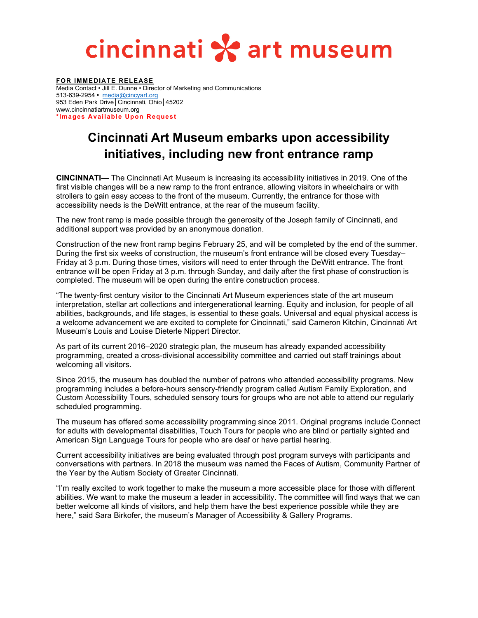## cincinnati \* art museum

**FOR IMMEDIATE RELEASE** Media Contact • Jill E. Dunne • Director of Marketing and Communications 513-639-2954 **•** [media@cincyart.org](mailto:media@cincyart.org) 953 Eden Park Drive│Cincinnati, Ohio│45202 www.cincinnatiartmuseum.org **\*Images Available Upon Request**

## **Cincinnati Art Museum embarks upon accessibility initiatives, including new front entrance ramp**

**CINCINNATI—** The Cincinnati Art Museum is increasing its accessibility initiatives in 2019. One of the first visible changes will be a new ramp to the front entrance, allowing visitors in wheelchairs or with strollers to gain easy access to the front of the museum. Currently, the entrance for those with accessibility needs is the DeWitt entrance, at the rear of the museum facility.

The new front ramp is made possible through the generosity of the Joseph family of Cincinnati, and additional support was provided by an anonymous donation.

Construction of the new front ramp begins February 25, and will be completed by the end of the summer. During the first six weeks of construction, the museum's front entrance will be closed every Tuesday– Friday at 3 p.m. During those times, visitors will need to enter through the DeWitt entrance. The front entrance will be open Friday at 3 p.m. through Sunday, and daily after the first phase of construction is completed. The museum will be open during the entire construction process.

"The twenty-first century visitor to the Cincinnati Art Museum experiences state of the art museum interpretation, stellar art collections and intergenerational learning. Equity and inclusion, for people of all abilities, backgrounds, and life stages, is essential to these goals. Universal and equal physical access is a welcome advancement we are excited to complete for Cincinnati," said Cameron Kitchin, Cincinnati Art Museum's Louis and Louise Dieterle Nippert Director.

As part of its current 2016–2020 strategic plan, the museum has already expanded accessibility programming, created a cross-divisional accessibility committee and carried out staff trainings about welcoming all visitors.

Since 2015, the museum has doubled the number of patrons who attended accessibility programs. New programming includes a before-hours sensory-friendly program called Autism Family Exploration, and Custom Accessibility Tours, scheduled sensory tours for groups who are not able to attend our regularly scheduled programming.

The museum has offered some accessibility programming since 2011. Original programs include Connect for adults with developmental disabilities, Touch Tours for people who are blind or partially sighted and American Sign Language Tours for people who are deaf or have partial hearing.

Current accessibility initiatives are being evaluated through post program surveys with participants and conversations with partners. In 2018 the museum was named the Faces of Autism, Community Partner of the Year by the Autism Society of Greater Cincinnati.

"I'm really excited to work together to make the museum a more accessible place for those with different abilities. We want to make the museum a leader in accessibility. The committee will find ways that we can better welcome all kinds of visitors, and help them have the best experience possible while they are here," said Sara Birkofer, the museum's Manager of Accessibility & Gallery Programs.